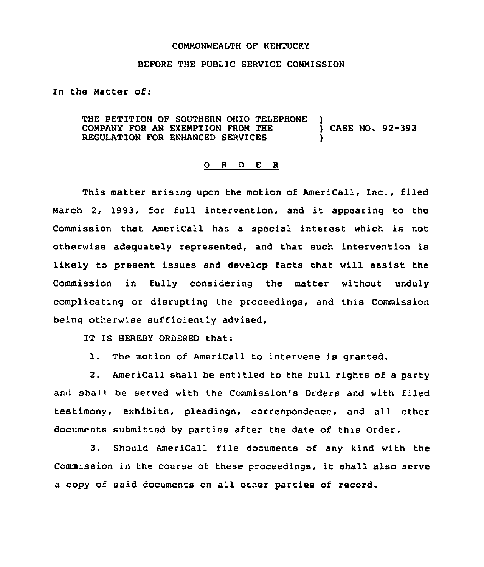## COMMONWEALTH OF KENTUCKY

## BEFORE THE PUBLIC SERVICE COMMISSION

In the Matter of:

THE PETITION OF SOUTHERN OHIO TELEPHONE COMPANY FOR AN EXEMPTION FROM THE ) CASE NO. 92-392 REGULATION FOR ENHANCED SERVICES

## 0 <sup>R</sup> <sup>D</sup> E <sup>R</sup>

This matter arising upon the motion of AmeriCall, Inc., filed March 2, 1993, for full intervention, and it appearing to the Commission that AmeriCall has a special interest which is not otherwise adeguately represented, and that such intervention is likely to present issues and develop facts that will assist the Commission in fully considering the matter without unduly complicating or disrupting the proceedings, and this Commission being otherwise sufficiently advised,

IT IS HEREBY ORDERED that:

1. The motion of AmeriCall to intervene is granted.

2. AmeriCall shall be entitled to the full rights of a party and shall be served with the Commission's Orders and with filed testimony, exhibits, pleadings, correspondence, and all other documents submitted by parties after the date of this Order.

3. Should AmeriCall file documents of any kind with the Commission in the course of these proceedings, it shall also serve a copy of said documents on all other parties of record.